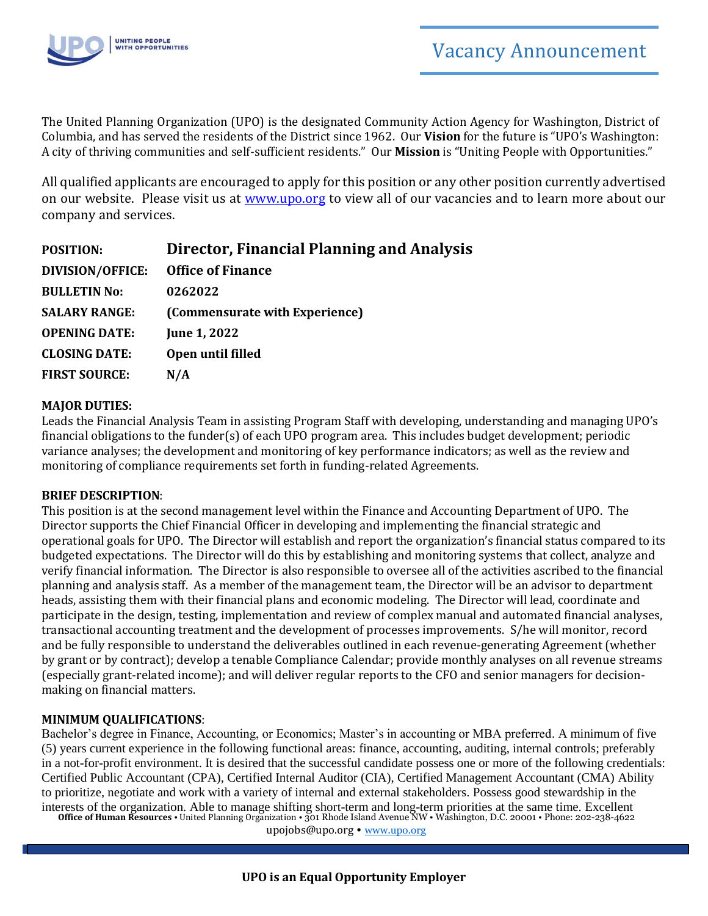

The United Planning Organization (UPO) is the designated Community Action Agency for Washington, District of Columbia, and has served the residents of the District since 1962. Our **Vision** for the future is "UPO's Washington: A city of thriving communities and self-sufficient residents." Our **Mission** is "Uniting People with Opportunities."

All qualified applicants are encouraged to apply for this position or any other position currently advertised on our website. Please visit us at [www.upo.org](http://www.upo.org/) to view all of our vacancies and to learn more about our company and services.

| <b>POSITION:</b>        | <b>Director, Financial Planning and Analysis</b> |
|-------------------------|--------------------------------------------------|
| <b>DIVISION/OFFICE:</b> | <b>Office of Finance</b>                         |
| <b>BULLETIN No:</b>     | 0262022                                          |
| <b>SALARY RANGE:</b>    | (Commensurate with Experience)                   |
| <b>OPENING DATE:</b>    | <b>June 1, 2022</b>                              |
| <b>CLOSING DATE:</b>    | Open until filled                                |
| <b>FIRST SOURCE:</b>    | N/A                                              |

#### **MAJOR DUTIES:**

Leads the Financial Analysis Team in assisting Program Staff with developing, understanding and managing UPO's financial obligations to the funder(s) of each UPO program area. This includes budget development; periodic variance analyses; the development and monitoring of key performance indicators; as well as the review and monitoring of compliance requirements set forth in funding-related Agreements.

#### **BRIEF DESCRIPTION**:

This position is at the second management level within the Finance and Accounting Department of UPO. The Director supports the Chief Financial Officer in developing and implementing the financial strategic and operational goals for UPO. The Director will establish and report the organization's financial status compared to its budgeted expectations. The Director will do this by establishing and monitoring systems that collect, analyze and verify financial information. The Director is also responsible to oversee all of the activities ascribed to the financial planning and analysis staff. As a member of the management team, the Director will be an advisor to department heads, assisting them with their financial plans and economic modeling. The Director will lead, coordinate and participate in the design, testing, implementation and review of complex manual and automated financial analyses, transactional accounting treatment and the development of processes improvements. S/he will monitor, record and be fully responsible to understand the deliverables outlined in each revenue-generating Agreement (whether by grant or by contract); develop a tenable Compliance Calendar; provide monthly analyses on all revenue streams (especially grant-related income); and will deliver regular reports to the CFO and senior managers for decisionmaking on financial matters.

## **MINIMUM QUALIFICATIONS**:

**Office of Human Resources** • United Planning Organization • 301 Rhode Island Avenue NW • Washington, D.C. 20001 • Phone: 202-238-4622 Bachelor's degree in Finance, Accounting, or Economics; Master's in accounting or MBA preferred. A minimum of five (5) years current experience in the following functional areas: finance, accounting, auditing, internal controls; preferably in a not-for-profit environment. It is desired that the successful candidate possess one or more of the following credentials: Certified Public Accountant (CPA), Certified Internal Auditor (CIA), Certified Management Accountant (CMA) Ability to prioritize, negotiate and work with a variety of internal and external stakeholders. Possess good stewardship in the interests of the organization. Able to manage shifting short-term and long-term priorities at the same time. Excellent

[upojobs@upo.org](mailto:upojobs@upo.org) • [www.upo.org](http://www.upo.org/)